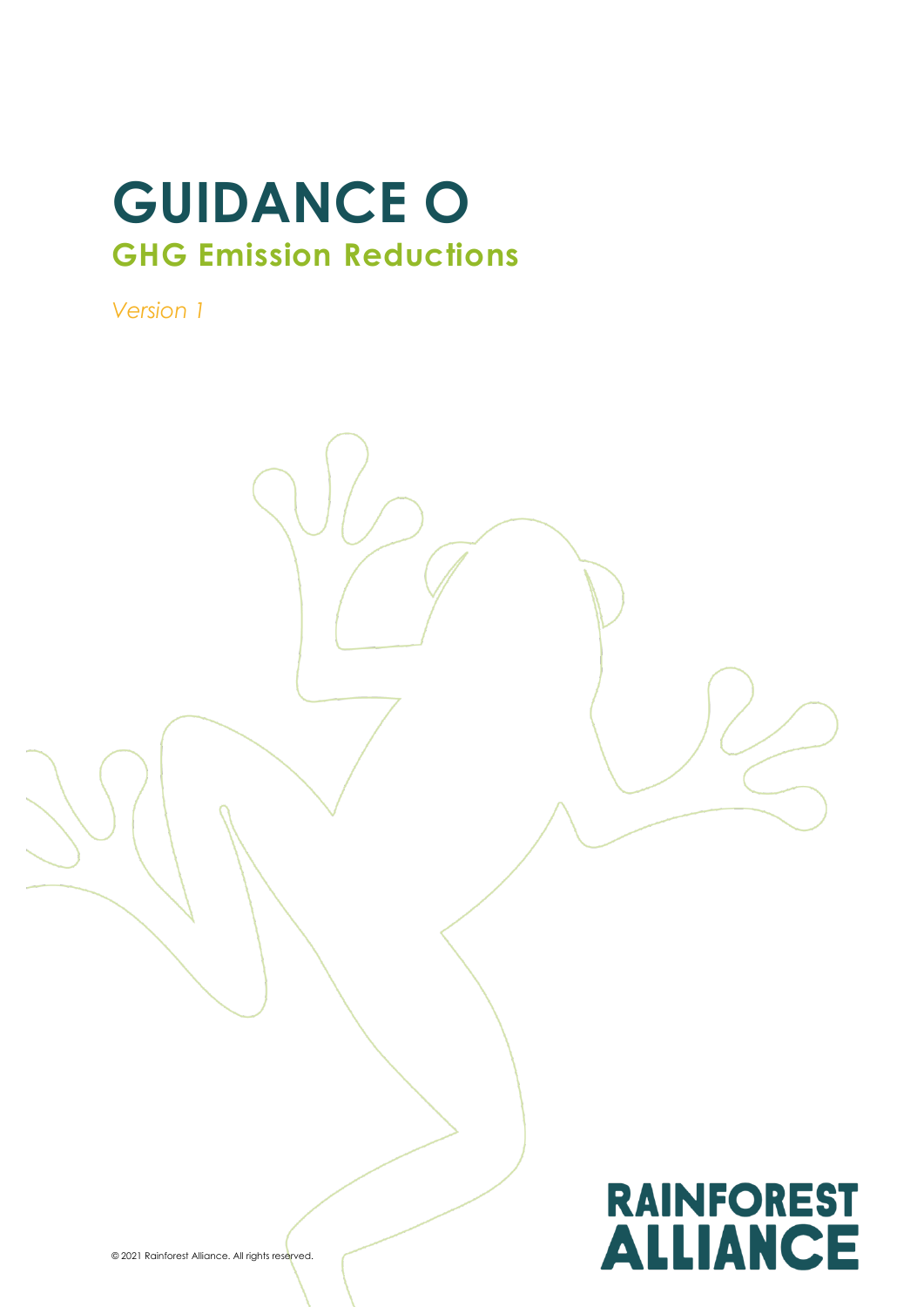# **GUIDANCE O GHG Emission Reductions**

*Version 1*

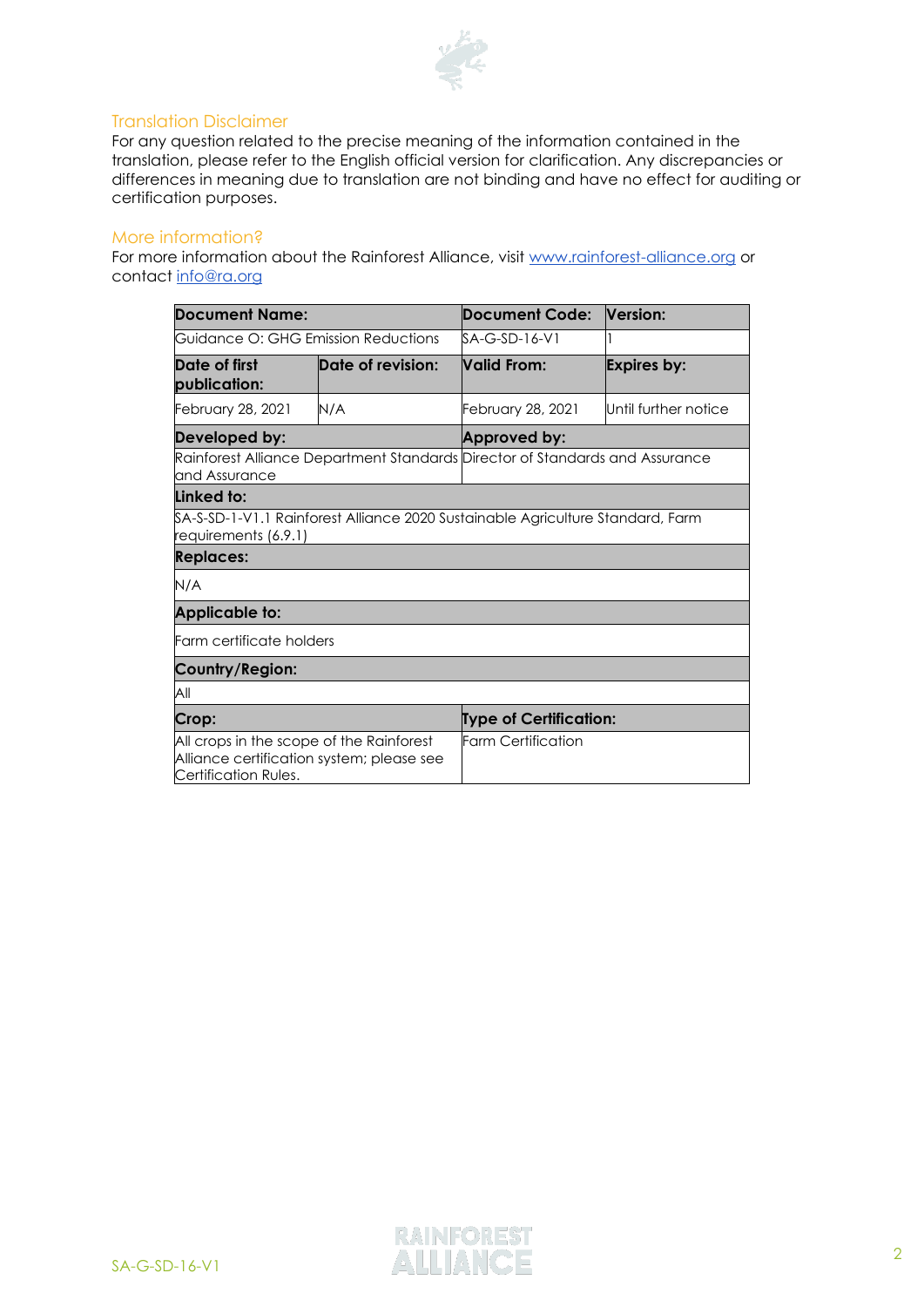

#### Translation Disclaimer

For any question related to the precise meaning of the information contained in the translation, please refer to the English official version for clarification. Any discrepancies or differences in meaning due to translation are not binding and have no effect for auditing or certification purposes.

#### More information?

For more information about the Rainforest Alliance, visit [www.rainforest-alliance.org](http://www.rainforest-alliance.org/) or contact [info@ra.org](mailto:info@ra.org)

| Document Name:                                                                                                |                   | Document Code:                                                                              | Version:             |
|---------------------------------------------------------------------------------------------------------------|-------------------|---------------------------------------------------------------------------------------------|----------------------|
| Guidance O: GHG Emission Reductions                                                                           |                   | SA-G-SD-16-V1                                                                               |                      |
| Date of first<br>publication:                                                                                 | Date of revision: | Valid From:                                                                                 | <b>Expires by:</b>   |
| February 28, 2021                                                                                             | N/A               | February 28, 2021                                                                           | Until further notice |
| Developed by:                                                                                                 |                   | Approved by:                                                                                |                      |
| Rainforest Alliance Department Standards Director of Standards and Assurance<br>and Assurance                 |                   |                                                                                             |                      |
| Linked to:                                                                                                    |                   |                                                                                             |                      |
| requirements (6.9.1)                                                                                          |                   | <code>SA-S-SD-1-V1.1</code> Rainforest Alliance 2020 Sustainable Agriculture Standard, Farm |                      |
| <b>Replaces:</b>                                                                                              |                   |                                                                                             |                      |
| N/A                                                                                                           |                   |                                                                                             |                      |
| <b>Applicable to:</b>                                                                                         |                   |                                                                                             |                      |
| Farm certificate holders                                                                                      |                   |                                                                                             |                      |
| Country/Region:                                                                                               |                   |                                                                                             |                      |
| All                                                                                                           |                   |                                                                                             |                      |
| Crop:                                                                                                         |                   | Type of Certification:                                                                      |                      |
| All crops in the scope of the Rainforest<br>Alliance certification system; please see<br>Certification Rules. |                   | <b>Farm Certification</b>                                                                   |                      |

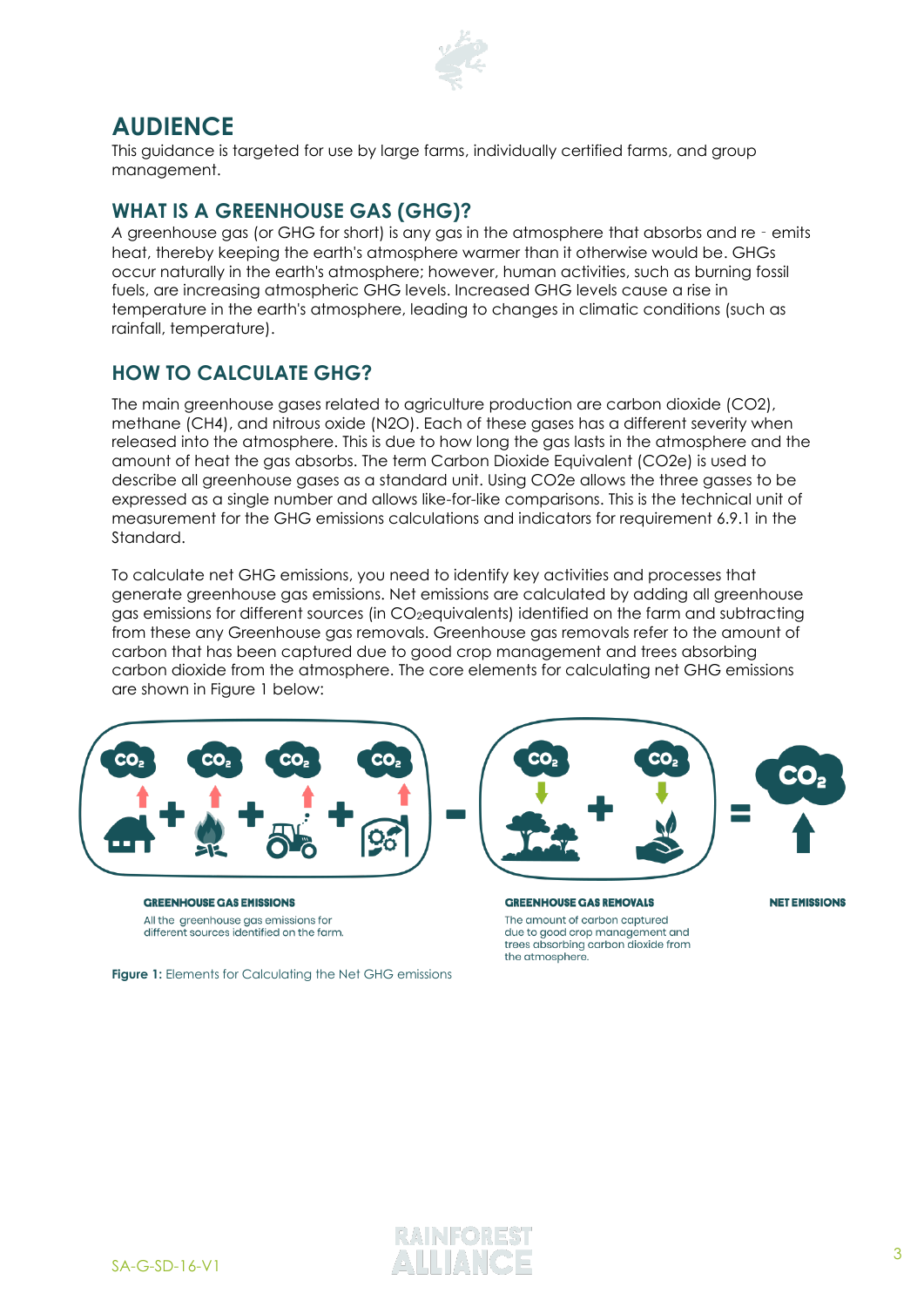

# **AUDIENCE**

This guidance is targeted for use by large farms, individually certified farms, and group management.

# **WHAT IS A GREENHOUSE GAS (GHG)?**

*A* greenhouse gas (or GHG for short) is any gas in the atmosphere that absorbs and re‐emits heat, thereby keeping the earth's atmosphere warmer than it otherwise would be. GHGs occur naturally in the earth's atmosphere; however, human activities, such as burning fossil fuels, are increasing atmospheric GHG levels. Increased GHG levels cause a rise in temperature in the earth's atmosphere, leading to changes in climatic conditions (such as rainfall, temperature).

# **HOW TO CALCULATE GHG?**

The main greenhouse gases related to agriculture production are carbon dioxide (CO2), methane (CH4), and nitrous oxide (N2O). Each of these gases has a different severity when released into the atmosphere. This is due to how long the gas lasts in the atmosphere and the amount of heat the gas absorbs. The term Carbon Dioxide Equivalent (CO2e) is used to describe all greenhouse gases as a standard unit. Using CO2e allows the three gasses to be expressed as a single number and allows like-for-like comparisons. This is the technical unit of measurement for the GHG emissions calculations and indicators for requirement 6.9.1 in the Standard.

To calculate net GHG emissions, you need to identify key activities and processes that generate greenhouse gas emissions. Net emissions are calculated by adding all greenhouse gas emissions for different sources (in CO2equivalents) identified on the farm and subtracting from these any Greenhouse gas removals. Greenhouse gas removals refer to the amount of carbon that has been captured due to good crop management and trees absorbing carbon dioxide from the atmosphere. The core elements for calculating net GHG emissions are shown in Figure 1 below:



**GREENHOUSE GAS EMISSIONS** All the greenhouse gas emissions for different sources identified on the farm.

**Figure 1:** Elements for Calculating the Net GHG emissions



**GREENHOUSE GAS REMOVALS** The amount of carbon captured due to good crop management and trees absorbing carbon dioxide from the atmosphere.

**NET EMISSIONS** 

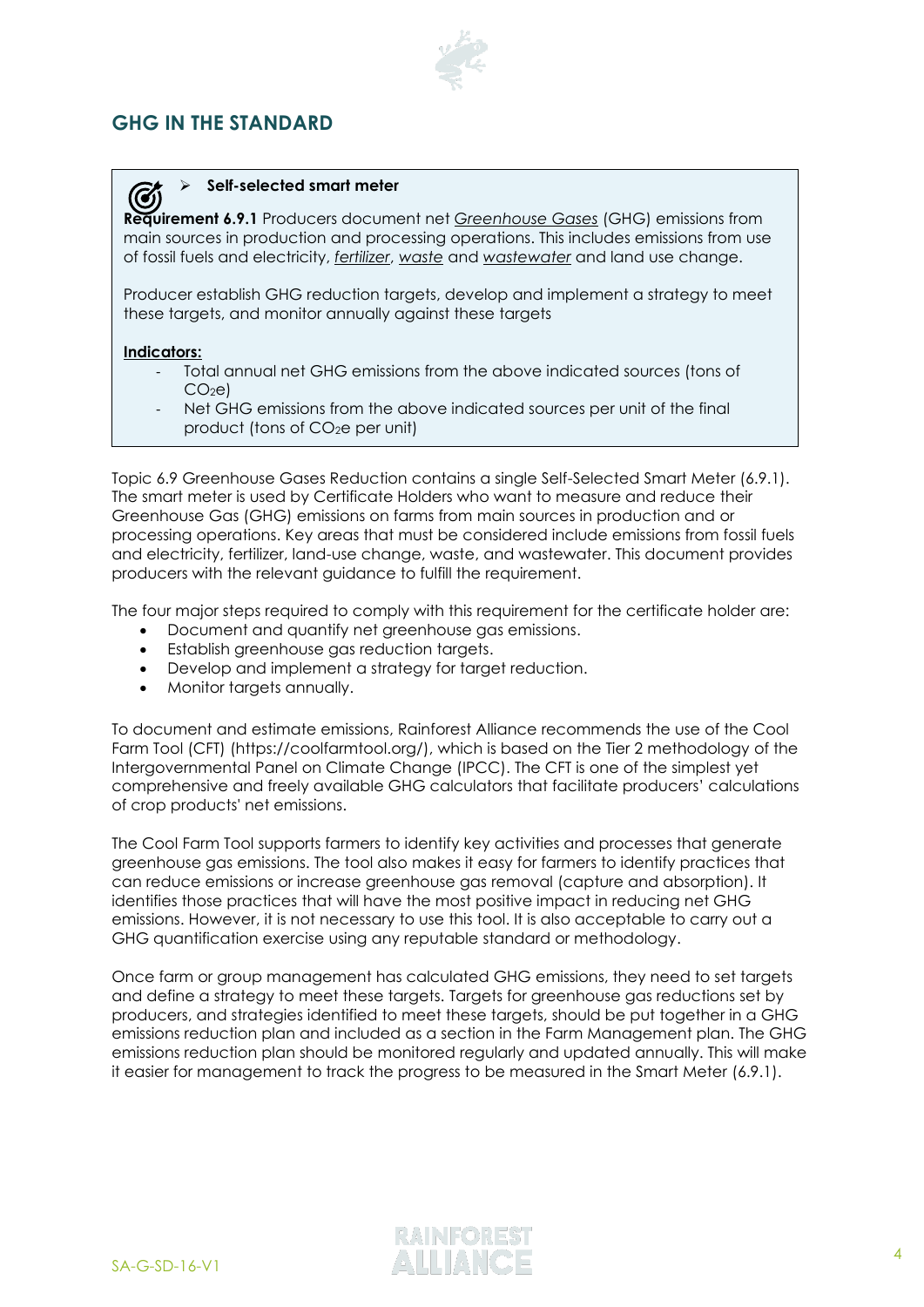# **GHG IN THE STANDARD**

#### ➢ **Self-selected smart meter**

**Requirement 6.9.1** Producers document net *Greenhouse Gases* (GHG) emissions from main sources in production and processing operations. This includes emissions from use of fossil fuels and electricity, *fertilizer*, *waste* and *wastewater* and land use change.

Producer establish GHG reduction targets, develop and implement a strategy to meet these targets, and monitor annually against these targets

#### **Indicators:**

 $\bm G$ 

- Total annual net GHG emissions from the above indicated sources (tons of  $CO<sub>2</sub>el$
- Net GHG emissions from the above indicated sources per unit of the final product (tons of CO2e per unit)

Topic 6.9 Greenhouse Gases Reduction contains a single Self-Selected Smart Meter (6.9.1). The smart meter is used by Certificate Holders who want to measure and reduce their Greenhouse Gas (GHG) emissions on farms from main sources in production and or processing operations. Key areas that must be considered include emissions from fossil fuels and electricity, fertilizer, land-use change, waste, and wastewater. This document provides producers with the relevant guidance to fulfill the requirement.

The four major steps required to comply with this requirement for the certificate holder are:

- Document and quantify net greenhouse gas emissions.
- Establish greenhouse gas reduction targets.
- Develop and implement a strategy for target reduction.
- Monitor targets annually.

To document and estimate emissions, Rainforest Alliance recommends the use of the Cool Farm Tool (CFT) (https://coolfarmtool.org/), which is based on the Tier 2 methodology of the Intergovernmental Panel on Climate Change (IPCC). The CFT is one of the simplest yet comprehensive and freely available GHG calculators that facilitate producers' calculations of crop products' net emissions.

The Cool Farm Tool supports farmers to identify key activities and processes that generate greenhouse gas emissions. The tool also makes it easy for farmers to identify practices that can reduce emissions or increase greenhouse gas removal (capture and absorption). It identifies those practices that will have the most positive impact in reducing net GHG emissions. However, it is not necessary to use this tool. It is also acceptable to carry out a GHG quantification exercise using any reputable standard or methodology.

Once farm or group management has calculated GHG emissions, they need to set targets and define a strategy to meet these targets. Targets for greenhouse gas reductions set by producers, and strategies identified to meet these targets, should be put together in a GHG emissions reduction plan and included as a section in the Farm Management plan. The GHG emissions reduction plan should be monitored regularly and updated annually. This will make it easier for management to track the progress to be measured in the Smart Meter (6.9.1).

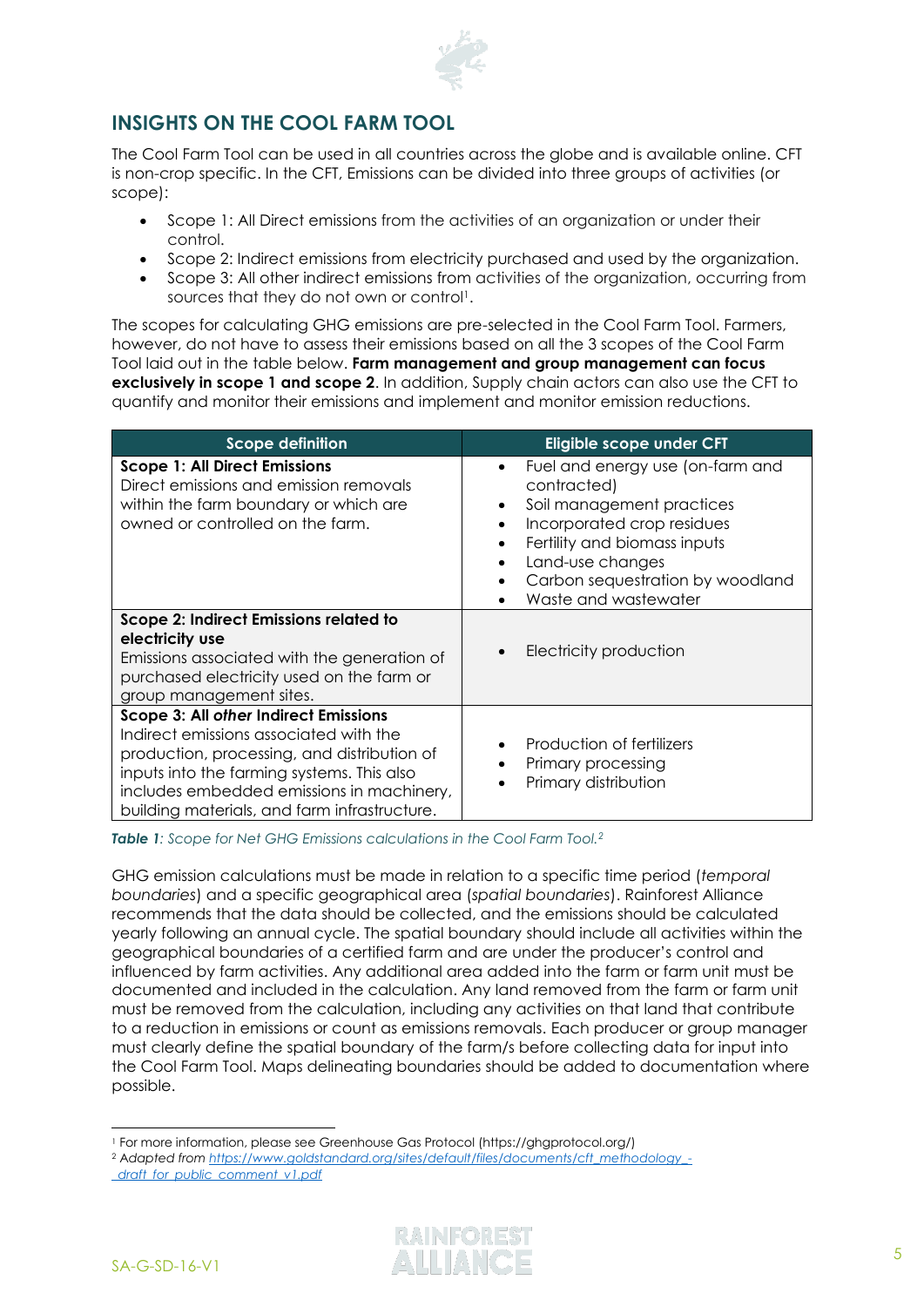

# **INSIGHTS ON THE COOL FARM TOOL**

The Cool Farm Tool can be used in all countries across the globe and is available online. CFT is non-crop specific. In the CFT, Emissions can be divided into three groups of activities (or scope):

- Scope 1: All Direct emissions from the activities of an organization or under their control.
- Scope 2: Indirect emissions from electricity purchased and used by the organization.
- Scope 3: All other indirect emissions from activities of the organization, occurring from sources that they do not own or control<sup>1</sup>.

The scopes for calculating GHG emissions are pre-selected in the Cool Farm Tool. Farmers, however, do not have to assess their emissions based on all the 3 scopes of the Cool Farm Tool laid out in the table below. **Farm management and group management can focus exclusively in scope 1 and scope 2**. In addition, Supply chain actors can also use the CFT to quantify and monitor their emissions and implement and monitor emission reductions.

| <b>Scope definition</b>                                                                                                                                                                                                                                                          | Eligible scope under CFT                                                                                                                                                                                                                                                       |
|----------------------------------------------------------------------------------------------------------------------------------------------------------------------------------------------------------------------------------------------------------------------------------|--------------------------------------------------------------------------------------------------------------------------------------------------------------------------------------------------------------------------------------------------------------------------------|
| <b>Scope 1: All Direct Emissions</b><br>Direct emissions and emission removals<br>within the farm boundary or which are<br>owned or controlled on the farm.                                                                                                                      | Fuel and energy use (on-farm and<br>$\bullet$<br>contracted)<br>Soil management practices<br>$\bullet$<br>Incorporated crop residues<br>$\bullet$<br>Fertility and biomass inputs<br>$\bullet$<br>Land-use changes<br>Carbon sequestration by woodland<br>Waste and wastewater |
| Scope 2: Indirect Emissions related to<br>electricity use<br>Emissions associated with the generation of<br>purchased electricity used on the farm or<br>group management sites.                                                                                                 | Electricity production<br>$\bullet$                                                                                                                                                                                                                                            |
| <b>Scope 3: All other Indirect Emissions</b><br>Indirect emissions associated with the<br>production, processing, and distribution of<br>inputs into the farming systems. This also<br>includes embedded emissions in machinery,<br>building materials, and farm infrastructure. | Production of fertilizers<br>Primary processing<br>Primary distribution                                                                                                                                                                                                        |

*Table 1: Scope for Net GHG Emissions calculations in the Cool Farm Tool.<sup>2</sup>*

GHG emission calculations must be made in relation to a specific time period (*temporal boundaries*) and a specific geographical area (*spatial boundaries*). Rainforest Alliance recommends that the data should be collected, and the emissions should be calculated yearly following an annual cycle. The spatial boundary should include all activities within the geographical boundaries of a certified farm and are under the producer's control and influenced by farm activities. Any additional area added into the farm or farm unit must be documented and included in the calculation. Any land removed from the farm or farm unit must be removed from the calculation, including any activities on that land that contribute to a reduction in emissions or count as emissions removals. Each producer or group manager must clearly define the spatial boundary of the farm/s before collecting data for input into the Cool Farm Tool. Maps delineating boundaries should be added to documentation where possible.

<sup>1</sup> For more information, please see Greenhouse Gas Protocol (https://ghgprotocol.org/)

<sup>2</sup> A*dapted from [https://www.goldstandard.org/sites/default/files/documents/cft\\_methodology\\_-](https://www.goldstandard.org/sites/default/files/documents/cft_methodology_-_draft_for_public_comment_v1.pdf)*

*[\\_draft\\_for\\_public\\_comment\\_v1.pdf](https://www.goldstandard.org/sites/default/files/documents/cft_methodology_-_draft_for_public_comment_v1.pdf)*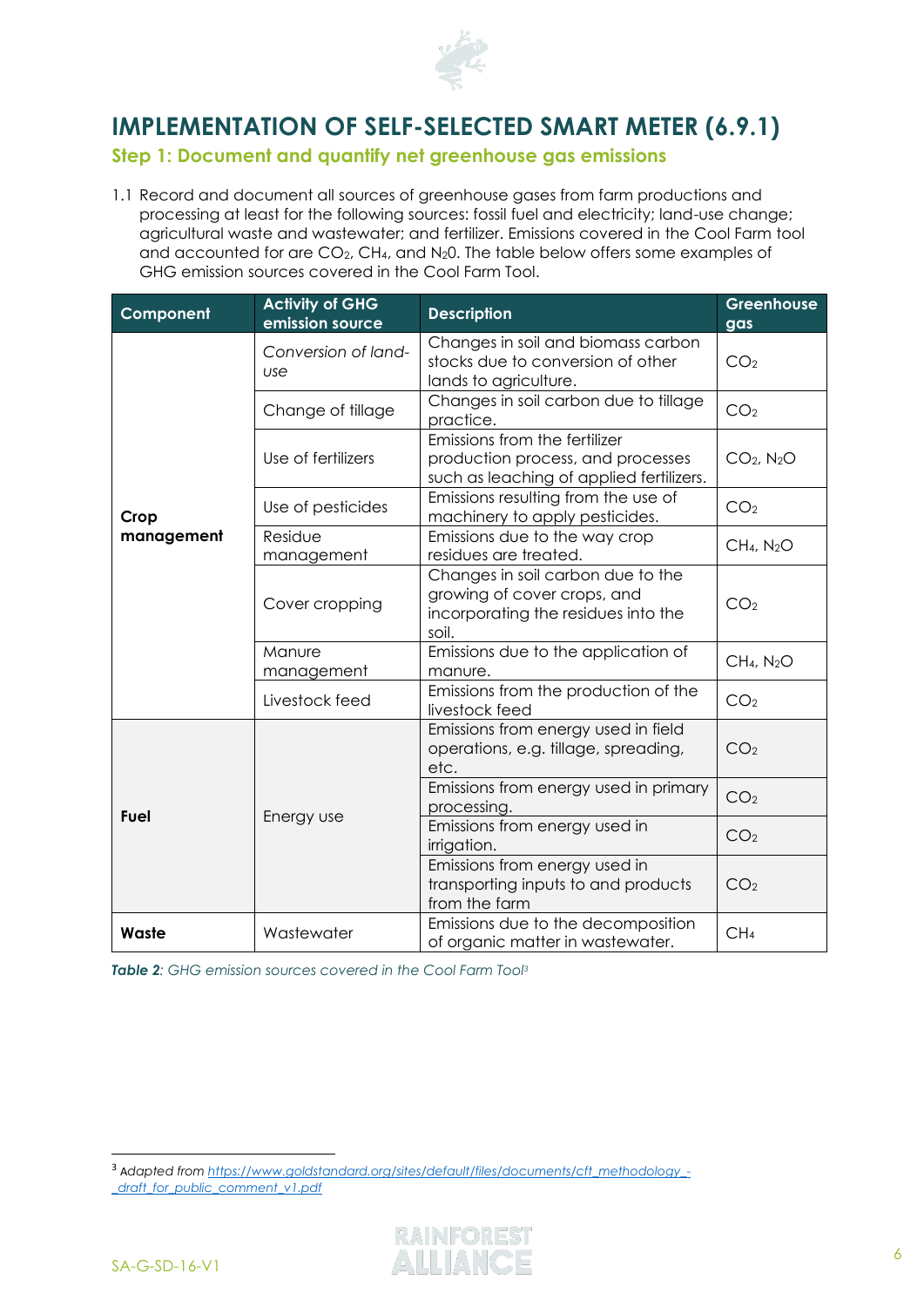

# **IMPLEMENTATION OF SELF-SELECTED SMART METER (6.9.1)**

# **Step 1: Document and quantify net greenhouse gas emissions**

1.1 Record and document all sources of greenhouse gases from farm productions and processing at least for the following sources: fossil fuel and electricity; land-use change; agricultural waste and wastewater; and fertilizer. Emissions covered in the Cool Farm tool and accounted for are CO2, CH4, and N20. The table below offers some examples of GHG emission sources covered in the Cool Farm Tool.

| Component          | <b>Activity of GHG</b><br>emission source | <b>Description</b>                                                                                               | Greenhouse<br>gas                  |
|--------------------|-------------------------------------------|------------------------------------------------------------------------------------------------------------------|------------------------------------|
| Crop<br>management | Conversion of land-<br>use                | Changes in soil and biomass carbon<br>stocks due to conversion of other<br>lands to agriculture.                 | CO <sub>2</sub>                    |
|                    | Change of tillage                         | Changes in soil carbon due to tillage<br>practice.                                                               | CO <sub>2</sub>                    |
|                    | Use of fertilizers                        | Emissions from the fertilizer<br>production process, and processes<br>such as leaching of applied fertilizers.   | $CO2$ , N <sub>2</sub> O           |
|                    | Use of pesticides                         | Emissions resulting from the use of<br>machinery to apply pesticides.                                            | CO <sub>2</sub>                    |
|                    | Residue<br>management                     | Emissions due to the way crop<br>residues are treated.                                                           | CH <sub>4</sub> , N <sub>2</sub> O |
|                    | Cover cropping                            | Changes in soil carbon due to the<br>growing of cover crops, and<br>incorporating the residues into the<br>soil. | CO <sub>2</sub>                    |
|                    | Manure<br>management                      | Emissions due to the application of<br>manure.                                                                   | CH <sub>4</sub> , N <sub>2</sub> O |
|                    | Livestock feed                            | Emissions from the production of the<br>livestock feed                                                           | CO <sub>2</sub>                    |
| Fuel               |                                           | Emissions from energy used in field<br>operations, e.g. tillage, spreading,<br>etc.                              | CO <sub>2</sub>                    |
|                    | Energy use                                | Emissions from energy used in primary<br>processing.                                                             | CO <sub>2</sub>                    |
|                    |                                           | Emissions from energy used in<br>irrigation.                                                                     | CO <sub>2</sub>                    |
|                    |                                           | Emissions from energy used in<br>transporting inputs to and products<br>from the farm                            | CO <sub>2</sub>                    |
| Waste              | Wastewater                                | Emissions due to the decomposition<br>of organic matter in wastewater.                                           | CH <sub>4</sub>                    |

*Table 2: GHG emission sources covered in the Cool Farm Tool<sup>3</sup>*

<sup>3</sup> A*dapted from [https://www.goldstandard.org/sites/default/files/documents/cft\\_methodology\\_-](https://www.goldstandard.org/sites/default/files/documents/cft_methodology_-_draft_for_public_comment_v1.pdf) [\\_draft\\_for\\_public\\_comment\\_v1.pdf](https://www.goldstandard.org/sites/default/files/documents/cft_methodology_-_draft_for_public_comment_v1.pdf)*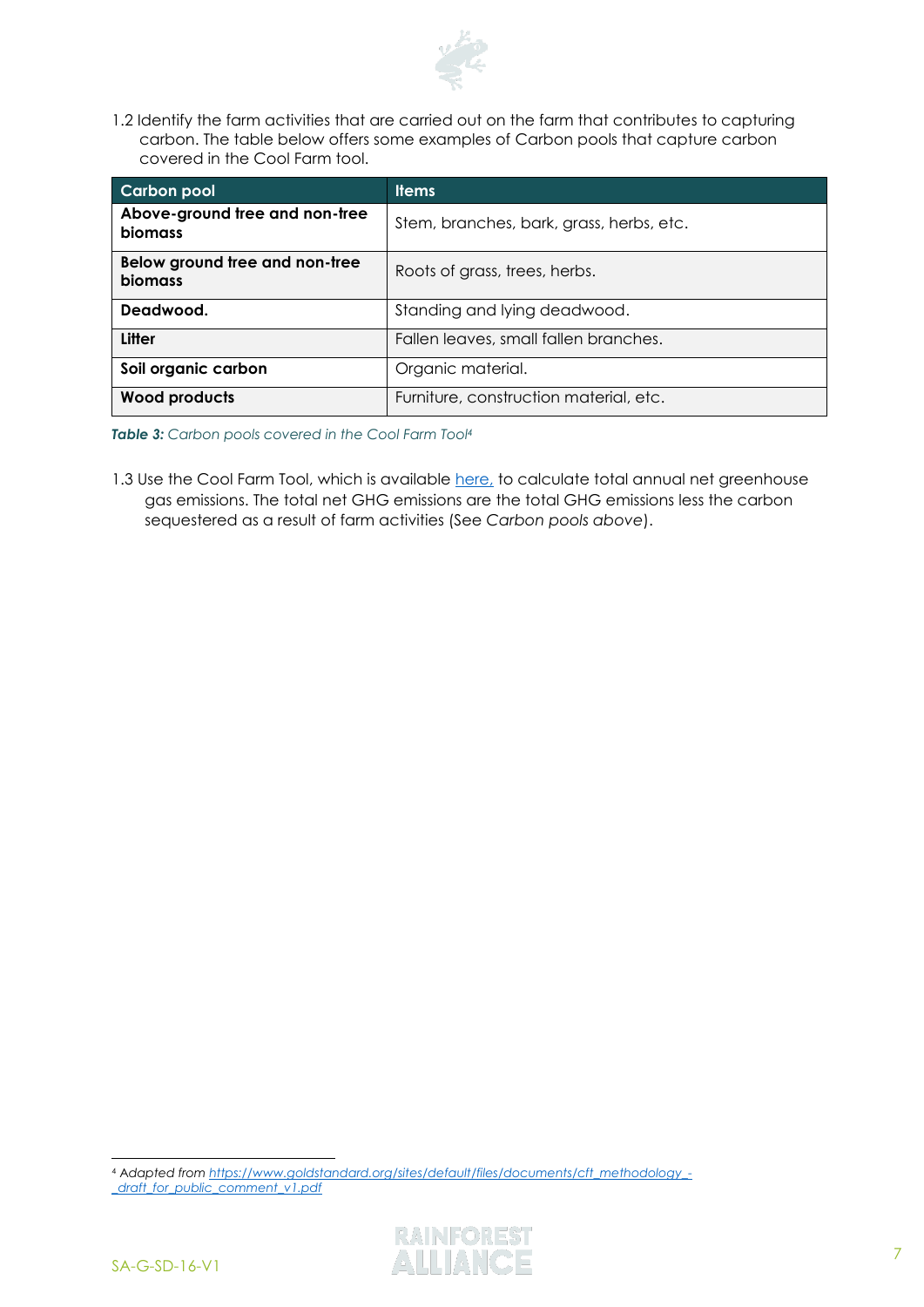

1.2 Identify the farm activities that are carried out on the farm that contributes to capturing carbon. The table below offers some examples of Carbon pools that capture carbon covered in the Cool Farm tool.

| <b>Carbon pool</b>                        | <b>Items</b>                             |  |
|-------------------------------------------|------------------------------------------|--|
| Above-ground tree and non-tree<br>biomass | Stem, branches, bark, grass, herbs, etc. |  |
| Below ground tree and non-tree<br>biomass | Roots of grass, trees, herbs.            |  |
| Deadwood.                                 | Standing and lying deadwood.             |  |
| <b>Litter</b>                             | Fallen leaves, small fallen branches.    |  |
| Soil organic carbon                       | Organic material.                        |  |
| <b>Wood products</b>                      | Furniture, construction material, etc.   |  |

*Table 3: Carbon pools covered in the Cool Farm Tool<sup>4</sup>*

1.3 Use the Cool Farm Tool, which is available [here,](https://app.coolfarmtool.org/account/login/?next=/) to calculate total annual net greenhouse gas emissions. The total net GHG emissions are the total GHG emissions less the carbon sequestered as a result of farm activities (See *Carbon pools above*).

<sup>4</sup> A*dapted from [https://www.goldstandard.org/sites/default/files/documents/cft\\_methodology\\_-](https://www.goldstandard.org/sites/default/files/documents/cft_methodology_-_draft_for_public_comment_v1.pdf) [\\_draft\\_for\\_public\\_comment\\_v1.pdf](https://www.goldstandard.org/sites/default/files/documents/cft_methodology_-_draft_for_public_comment_v1.pdf)*

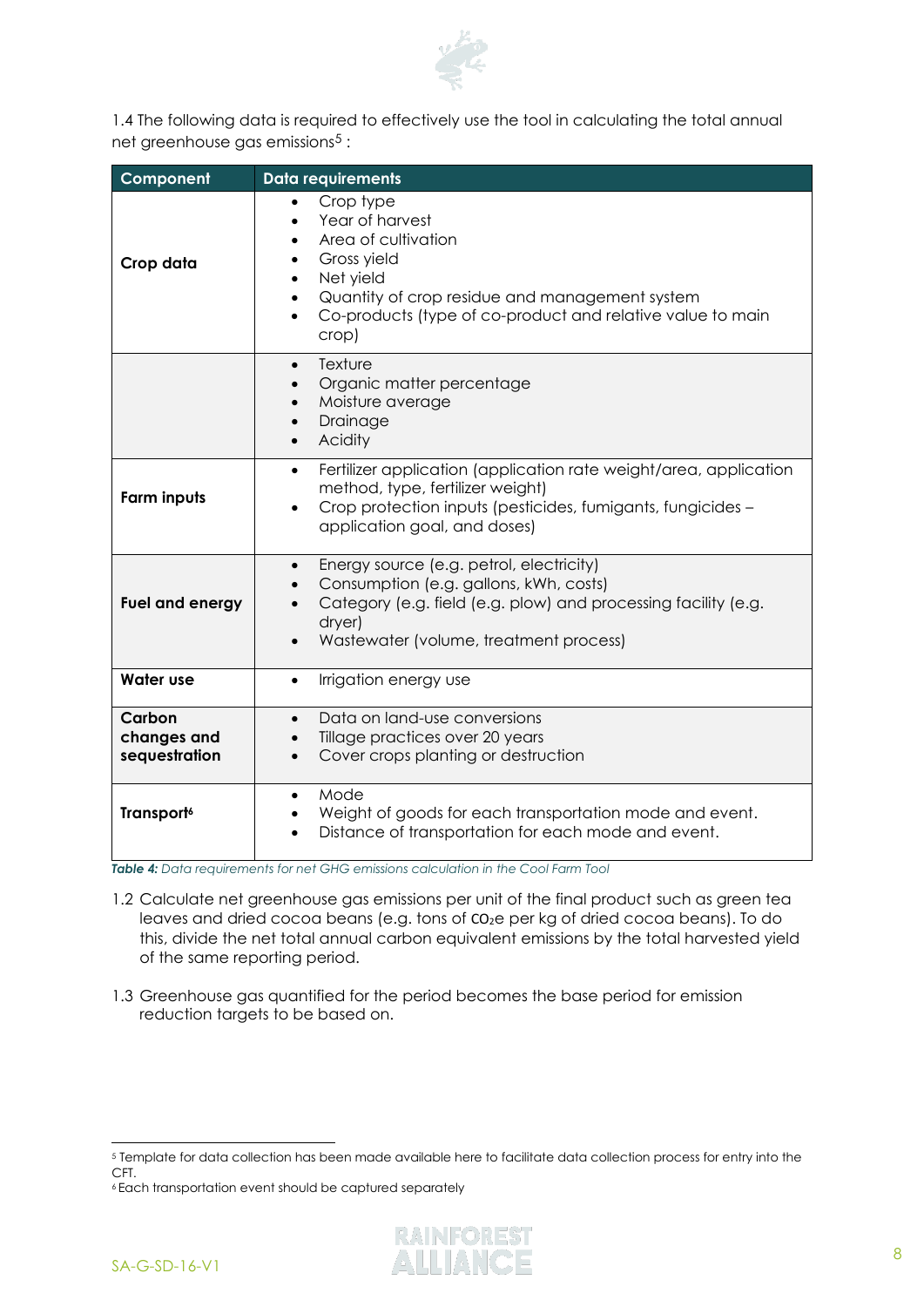

1.4 The following data is required to effectively use the tool in calculating the total annual net greenhouse gas emissions<sup>5</sup> :

| Component                              | <b>Data requirements</b>                                                                                                                                                                                                                                                                            |  |  |
|----------------------------------------|-----------------------------------------------------------------------------------------------------------------------------------------------------------------------------------------------------------------------------------------------------------------------------------------------------|--|--|
| Crop data                              | Crop type<br>$\bullet$<br>Year of harvest<br>$\bullet$<br>Area of cultivation<br>$\bullet$<br>Gross yield<br>$\bullet$<br>Net yield<br>$\bullet$<br>Quantity of crop residue and management system<br>$\bullet$<br>Co-products (type of co-product and relative value to main<br>$\bullet$<br>crop) |  |  |
|                                        | Texture<br>$\bullet$<br>Organic matter percentage<br>$\bullet$<br>Moisture average<br>$\bullet$<br>Drainage<br>$\bullet$<br>Acidity<br>$\bullet$                                                                                                                                                    |  |  |
| <b>Farm inputs</b>                     | Fertilizer application (application rate weight/area, application<br>$\bullet$<br>method, type, fertilizer weight)<br>Crop protection inputs (pesticides, fumigants, fungicides -<br>application goal, and doses)                                                                                   |  |  |
| Fuel and energy                        | Energy source (e.g. petrol, electricity)<br>$\bullet$<br>Consumption (e.g. gallons, kWh, costs)<br>Category (e.g. field (e.g. plow) and processing facility (e.g.<br>dryer)<br>Wastewater (volume, treatment process)                                                                               |  |  |
| <b>Water use</b>                       | Irrigation energy use<br>$\bullet$                                                                                                                                                                                                                                                                  |  |  |
| Carbon<br>changes and<br>sequestration | Data on land-use conversions<br>$\bullet$<br>Tillage practices over 20 years<br>$\bullet$<br>Cover crops planting or destruction<br>$\bullet$                                                                                                                                                       |  |  |
| Transport <sup>6</sup>                 | Mode<br>$\bullet$<br>Weight of goods for each transportation mode and event.<br>$\bullet$<br>Distance of transportation for each mode and event.                                                                                                                                                    |  |  |

*Table 4: Data requirements for net GHG emissions calculation in the Cool Farm Tool*

- 1.2 Calculate net greenhouse gas emissions per unit of the final product such as green tea leaves and dried cocoa beans (e.g. tons of CO2e per kg of dried cocoa beans). To do this, divide the net total annual carbon equivalent emissions by the total harvested yield of the same reporting period.
- 1.3 Greenhouse gas quantified for the period becomes the base period for emission reduction targets to be based on.

<sup>5</sup> Template for data collection has been made available here to facilitate data collection process for entry into the CFT.

<sup>6</sup> Each transportation event should be captured separately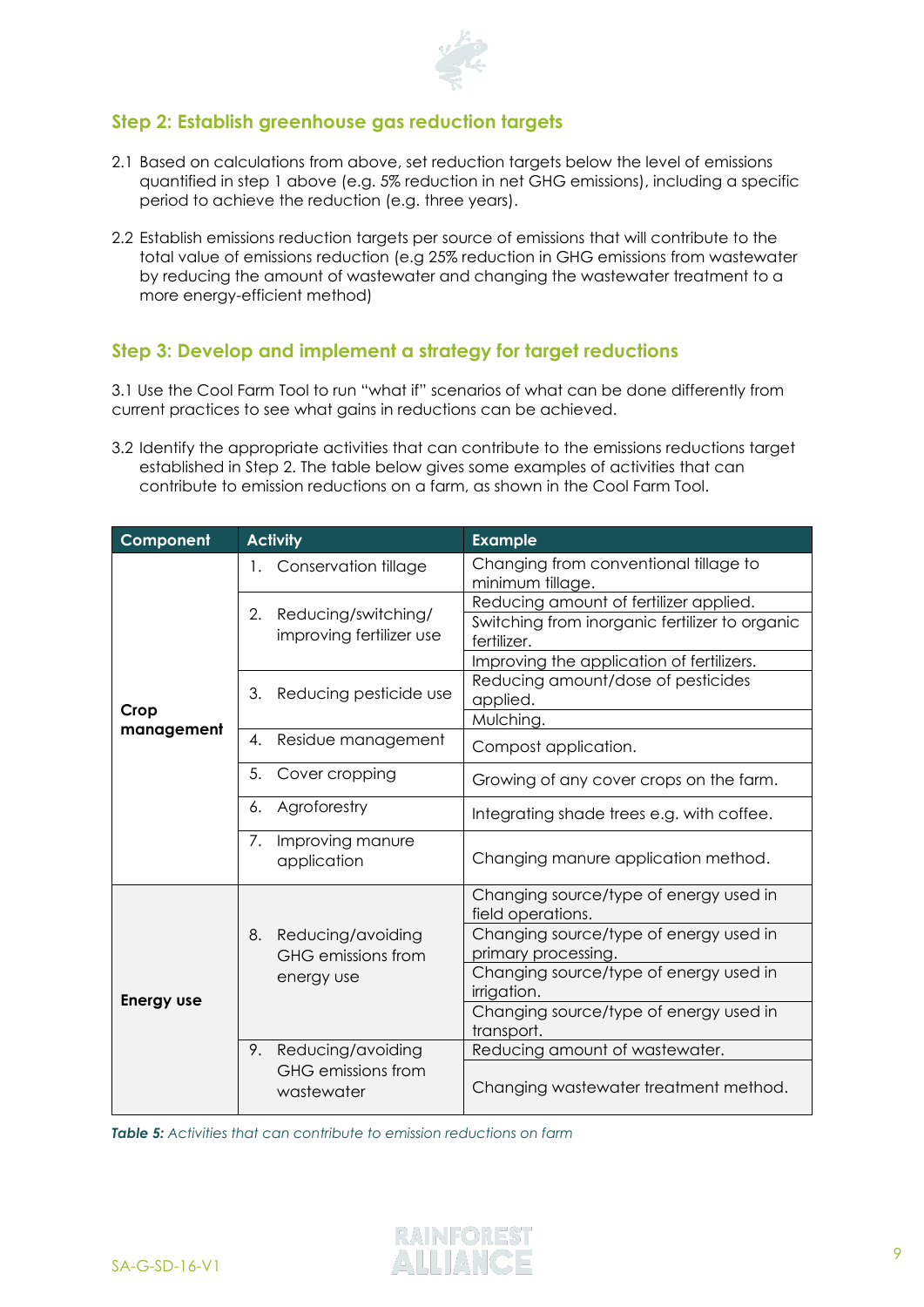

### **Step 2: Establish greenhouse gas reduction targets**

- 2.1 Based on calculations from above, set reduction targets below the level of emissions quantified in step 1 above (e.g. 5% reduction in net GHG emissions), including a specific period to achieve the reduction (e.g. three years).
- 2.2 Establish emissions reduction targets per source of emissions that will contribute to the total value of emissions reduction (e.g 25% reduction in GHG emissions from wastewater by reducing the amount of wastewater and changing the wastewater treatment to a more energy-efficient method)

#### **Step 3: Develop and implement a strategy for target reductions**

3.1 Use the Cool Farm Tool to run "what if" scenarios of what can be done differently from current practices to see what gains in reductions can be achieved.

3.2 Identify the appropriate activities that can contribute to the emissions reductions target established in Step 2. The table below gives some examples of activities that can contribute to emission reductions on a farm, as shown in the Cool Farm Tool.

| Component          | <b>Activity</b>                            | <b>Example</b>                                                |  |
|--------------------|--------------------------------------------|---------------------------------------------------------------|--|
| Crop<br>management | Conservation tillage<br>1.                 | Changing from conventional tillage to<br>minimum tillage.     |  |
|                    | 2.<br>Reducing/switching/                  | Reducing amount of fertilizer applied.                        |  |
|                    | improving fertilizer use                   | Switching from inorganic fertilizer to organic<br>fertilizer. |  |
|                    |                                            | Improving the application of fertilizers.                     |  |
|                    | 3.<br>Reducing pesticide use               | Reducing amount/dose of pesticides<br>applied.                |  |
|                    |                                            | Mulching.                                                     |  |
|                    | Residue management<br>4.                   | Compost application.                                          |  |
|                    | 5.<br>Cover cropping                       | Growing of any cover crops on the farm.                       |  |
|                    | Agroforestry<br>6.                         | Integrating shade trees e.g. with coffee.                     |  |
|                    | Improving manure<br>7.<br>application      | Changing manure application method.                           |  |
| <b>Energy use</b>  |                                            | Changing source/type of energy used in<br>field operations.   |  |
|                    | 8. Reducing/avoiding<br>GHG emissions from | Changing source/type of energy used in<br>primary processing. |  |
|                    | energy use                                 | Changing source/type of energy used in<br>irrigation.         |  |
|                    |                                            | Changing source/type of energy used in<br>transport.          |  |
|                    | Reducing/avoiding<br>9.                    | Reducing amount of wastewater.                                |  |
|                    | GHG emissions from<br>wastewater           | Changing wastewater treatment method.                         |  |

*Table 5: Activities that can contribute to emission reductions on farm*